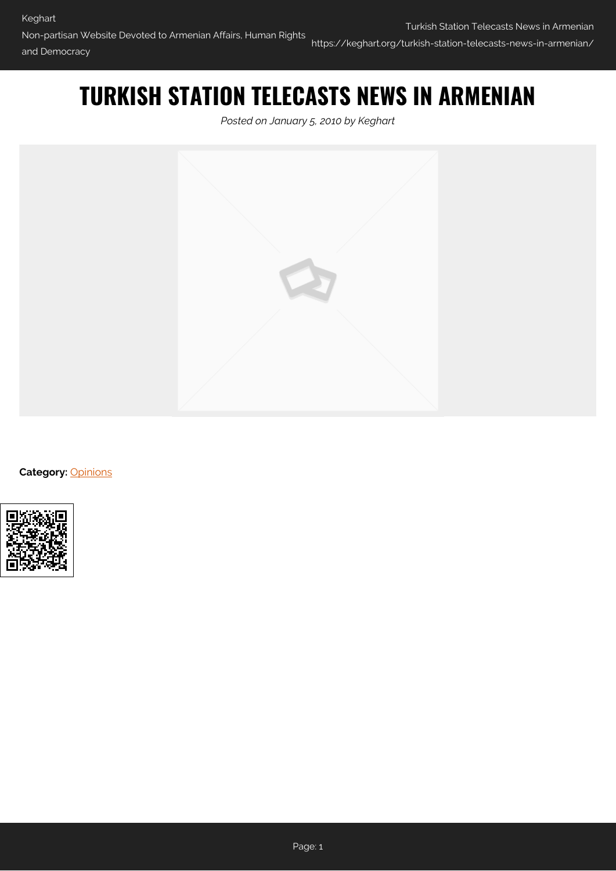## **TURKISH STATION TELECASTS NEWS IN ARMENIAN**

*Posted on January 5, 2010 by Keghart*



**Category: [Opinions](https://keghart.org/category/opinions/)** 

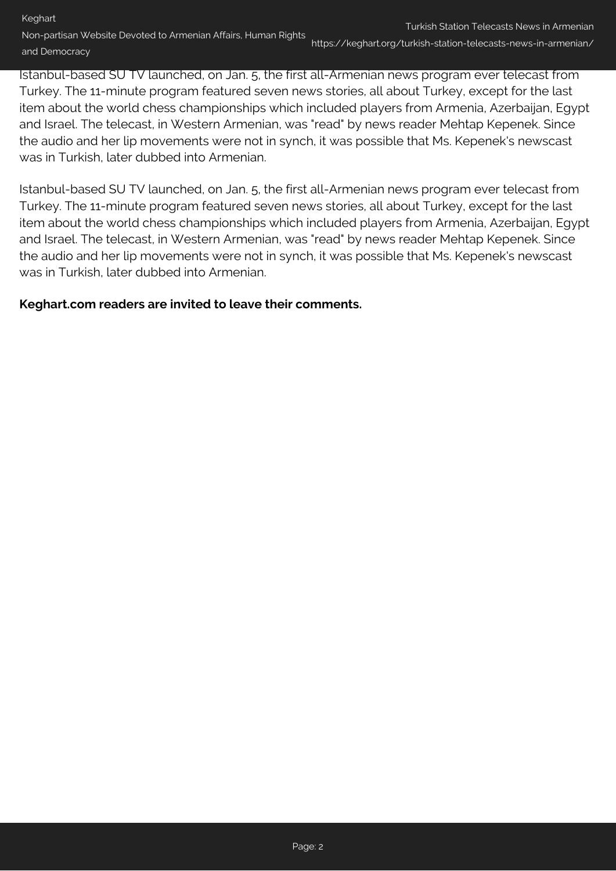## Turkish Station Telecasts News in Armenian

Non-partisan Website Devoted to Armenian Affairs, Human Rights and Democracy https://keghart.org/turkish-station-telecasts-news-in-armenian/

Istanbul-based SU TV launched, on Jan. 5, the first all-Armenian news program ever telecast from Turkey. The 11-minute program featured seven news stories, all about Turkey, except for the last item about the world chess championships which included players from Armenia, Azerbaijan, Egypt and Israel. The telecast, in Western Armenian, was "read" by news reader Mehtap Kepenek. Since the audio and her lip movements were not in synch, it was possible that Ms. Kepenek's newscast was in Turkish, later dubbed into Armenian.

Istanbul-based SU TV launched, on Jan. 5, the first all-Armenian news program ever telecast from Turkey. The 11-minute program featured seven news stories, all about Turkey, except for the last item about the world chess championships which included players from Armenia, Azerbaijan, Egypt and Israel. The telecast, in Western Armenian, was "read" by news reader Mehtap Kepenek. Since the audio and her lip movements were not in synch, it was possible that Ms. Kepenek's newscast was in Turkish, later dubbed into Armenian.

## **Keghart.com readers are invited to leave their comments.**